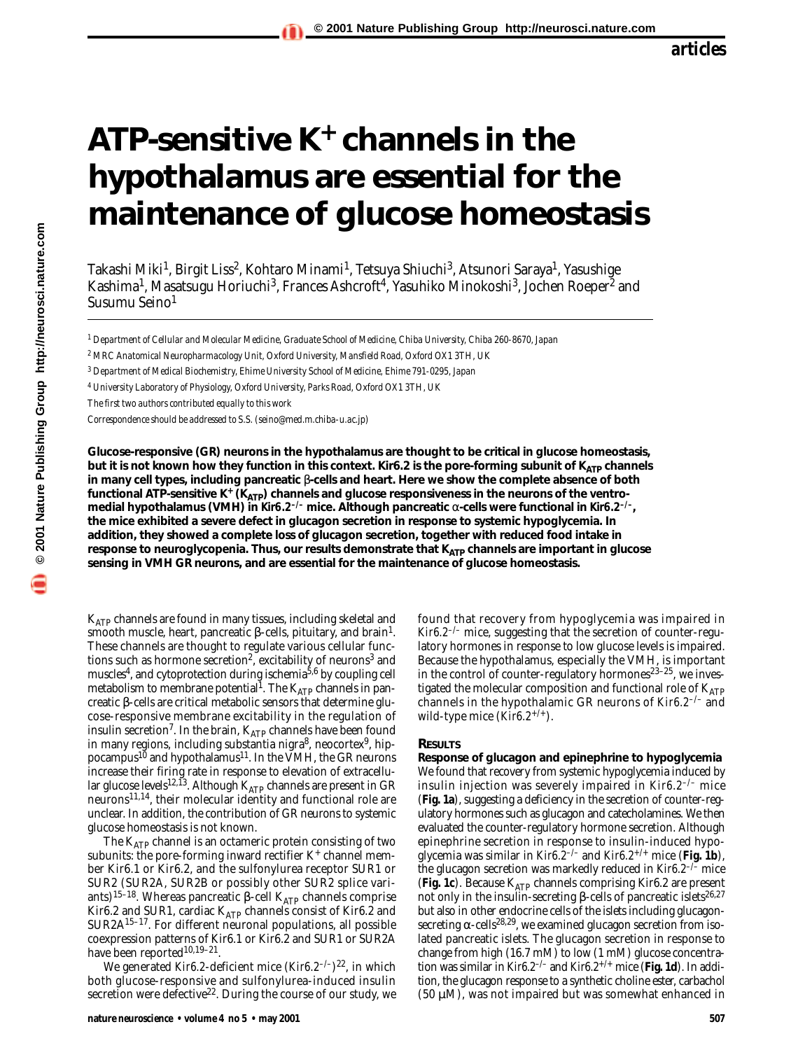# **ATP-sensitive K+ channels in the hypothalamus are essential for the maintenance of glucose homeostasis**

Takashi Miki<sup>1</sup>, Birgit Liss<sup>2</sup>, Kohtaro Minami<sup>1</sup>, Tetsuya Shiuchi<sup>3</sup>, Atsunori Saraya<sup>1</sup>, Yasushige Kashima<sup>1</sup>, Masatsugu Horiuchi<sup>3</sup>, Frances Ashcroft<sup>4</sup>, Yasuhiko Minokoshi<sup>3</sup>, Jochen Roeper<sup>2</sup> and Susumu Seino<sup>1</sup>

*<sup>1</sup> Department of Cellular and Molecular Medicine, Graduate School of Medicine, Chiba University, Chiba 260-8670, Japan*

*<sup>2</sup> MRC Anatomical Neuropharmacology Unit, Oxford University, Mansfield Road, Oxford OX1 3TH, UK*

*<sup>3</sup> Department of Medical Biochemistry, Ehime University School of Medicine, Ehime 791-0295, Japan*

*<sup>4</sup> University Laboratory of Physiology, Oxford University, Parks Road, Oxford OX1 3TH, UK*

*The first two authors contributed equally to this work*

*Correspondence should be addressed to S.S. (seino@med.m.chiba-u.ac.jp)*

**Glucose-responsive (GR) neurons in the hypothalamus are thought to be critical in glucose homeostasis, but it is not known how they function in this context. Kir6.2 is the pore-forming subunit of K<sub>ATP</sub> channels in many cell types, including pancreatic** β**-cells and heart. Here we show the complete absence of both** functional ATP-sensitive K<sup>+</sup> (K<sub>ATP</sub>) channels and glucose responsiveness in the neurons of the ventro**medial hypothalamus (VMH) in** *Kir6.2–/–* **mice. Although pancreatic** α**-cells were functional in** *Kir6.2–/–***, the mice exhibited a severe defect in glucagon secretion in response to systemic hypoglycemia. In addition, they showed a complete loss of glucagon secretion, together with reduced food intake in** response to neuroglycopenia. Thus, our results demonstrate that K<sub>ATP</sub> channels are important in glucose **sensing in VMH GR neurons, and are essential for the maintenance of glucose homeostasis.**

KATP channels are found in many tissues, including skeletal and smooth muscle, heart, pancreatic β-cells, pituitary, and brain<sup>1</sup>. These channels are thought to regulate various cellular functions such as hormone secretion<sup>2</sup>, excitability of neurons<sup>3</sup> and muscles<sup>4</sup>, and cytoprotection during ischemia<sup>5,6</sup> by coupling cell metabolism to membrane potential<sup>1</sup>. The  $K_{ATP}$  channels in pancreatic β-cells are critical metabolic sensors that determine glucose-responsive membrane excitability in the regulation of insulin secretion<sup>7</sup>. In the brain,  $K_{ATP}$  channels have been found in many regions, including substantia nigra<sup>8</sup>, neocortex<sup>9</sup>, hippocampus<sup>10</sup> and hypothalamus<sup>11</sup>. In the VMH, the GR neurons increase their firing rate in response to elevation of extracellular glucose levels $^{12,13}$ . Although  $\rm K_{ATP}$  channels are present in GR neurons11,14, their molecular identity and functional role are unclear. In addition, the contribution of GR neurons to systemic glucose homeostasis is not known.

The  $K_{ATP}$  channel is an octameric protein consisting of two subunits: the pore-forming inward rectifier  $K^+$  channel member Kir6.1 or Kir6.2, and the sulfonylurea receptor SUR1 or SUR2 (SUR2A, SUR2B or possibly other SUR2 splice variants)<sup>15–18</sup>. Whereas pancreatic β-cell K<sub>ATP</sub> channels comprise Kir6.2 and SUR1, cardiac KATP channels consist of Kir6.2 and SUR2A15–17. For different neuronal populations, all possible coexpression patterns of Kir6.1 or Kir6.2 and SUR1 or SUR2A have been reported<sup>10,19-21</sup>.

We generated *Kir6.2*-deficient mice (*Kir6.2–/–*)22, in which both glucose-responsive and sulfonylurea-induced insulin secretion were defective<sup>22</sup>. During the course of our study, we found that recovery from hypoglycemia was impaired in *Kir6.2–/–* mice, suggesting that the secretion of counter-regulatory hormones in response to low glucose levels is impaired. Because the hypothalamus, especially the VMH, is important in the control of counter-regulatory hormones $2^{3-25}$ , we investigated the molecular composition and functional role of  $K_{ATP}$ channels in the hypothalamic GR neurons of *Kir6.2–/–* and wild-type mice (*Kir6.2+/+*).

#### **RESULTS**

**Response of glucagon and epinephrine to hypoglycemia** We found that recovery from systemic hypoglycemia induced by insulin injection was severely impaired in *Kir6.2–/–* mice (**Fig. 1a**), suggesting a deficiency in the secretion of counter-regulatory hormones such as glucagon and catecholamines. We then evaluated the counter-regulatory hormone secretion. Although epinephrine secretion in response to insulin-induced hypoglycemia was similar in *Kir6.2–/–* and *Kir6.2+/+* mice (**Fig. 1b**), the glucagon secretion was markedly reduced in *Kir6.2–/–* mice (Fig. 1c). Because K<sub>ATP</sub> channels comprising Kir6.2 are present not only in the insulin-secreting β-cells of pancreatic islets<sup>26,27</sup> but also in other endocrine cells of the islets including glucagonsecreting  $\alpha$ -cells<sup>28,29</sup>, we examined glucagon secretion from isolated pancreatic islets. The glucagon secretion in response to change from high (16.7 mM) to low (1 mM) glucose concentration was similar in *Kir6.2–/–* and *Kir6.2+/+* mice (**Fig. 1d**). In addition, the glucagon response to a synthetic choline ester, carbachol (50  $\mu$ M), was not impaired but was somewhat enhanced in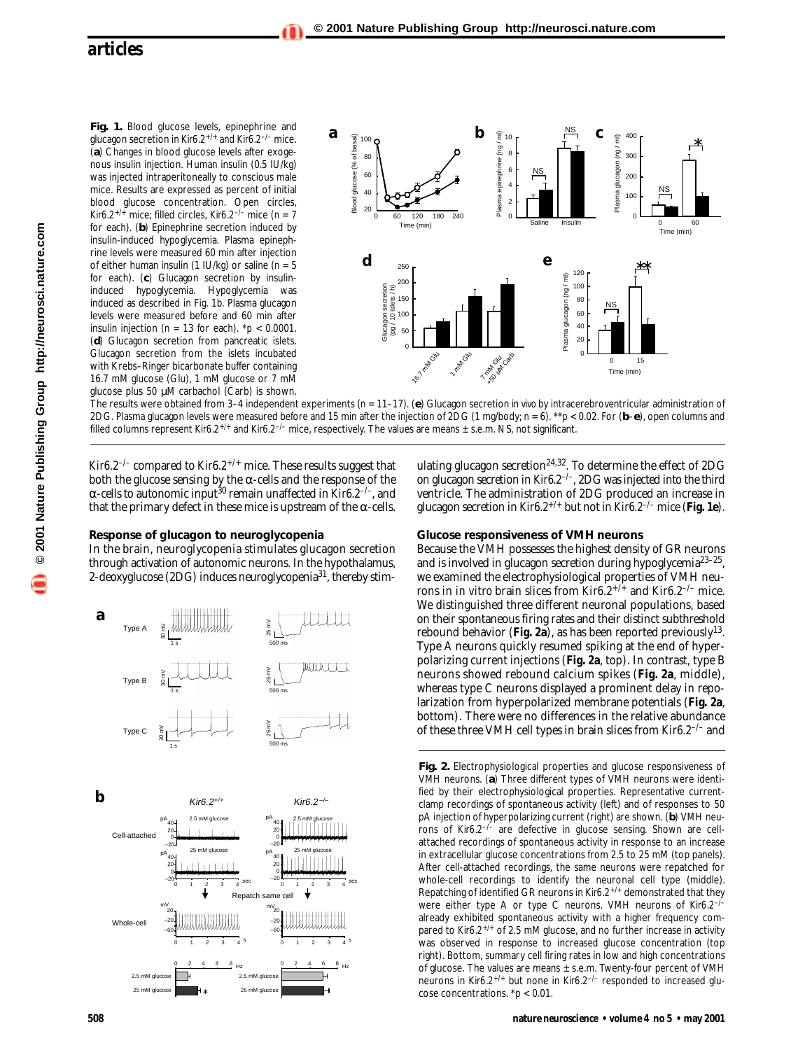**Fig. 1.** Blood glucose levels, epinephrine and glucagon secretion in *Kir6.2+/+* and *Kir6.2–/–* mice. (**a**) Changes in blood glucose levels after exogenous insulin injection. Human insulin (0.5 IU/kg) was injected intraperitoneally to conscious male mice. Results are expressed as percent of initial blood glucose concentration. Open circles, *Kir6.2+/+* mice; filled circles, *Kir6.2–/–* mice (*n* = 7 for each). (**b**) Epinephrine secretion induced by insulin-induced hypoglycemia. Plasma epinephrine levels were measured 60 min after injection of either human insulin (1 IU/kg) or saline (*n* = 5 for each). (**c**) Glucagon secretion by insulininduced hypoglycemia. Hypoglycemia was induced as described in Fig. 1b. Plasma glucagon levels were measured before and 60 min after insulin injection (*n* = 13 for each). \**p* < 0.0001. (**d**) Glucagon secretion from pancreatic islets. Glucagon secretion from the islets incubated with Krebs–Ringer bicarbonate buffer containing 16.7 mM glucose (Glu), 1 mM glucose or 7 mM glucose plus 50 µM carbachol (Carb) is shown.



The results were obtained from 3–4 independent experiments (*n* = 11–17). (**e**) Glucagon secretion *in vivo* by intracerebroventricular administration of 2DG. Plasma glucagon levels were measured before and 15 min after the injection of 2DG (1 mg/body; *n* = 6). \*\**p* < 0.02. For (**b**–**e**), open columns and filled columns represent *Kir6.2+/+* and *Kir6.2–/–* mice, respectively. The values are means ± s.e.m. NS, not significant.

*Kir6.2–/–* compared to *Kir6.2+/+* mice. These results suggest that both the glucose sensing by the  $\alpha$ -cells and the response of the α-cells to autonomic input30 remain unaffected in *Kir6.2–/–*, and that the primary defect in these mice is upstream of the α-cells.

#### **Response of glucagon to neuroglycopenia**

In the brain, neuroglycopenia stimulates glucagon secretion through activation of autonomic neurons. In the hypothalamus, 2-deoxyglucose (2DG) induces neuroglycopenia<sup>31</sup>, thereby stim-





ulating glucagon secretion<sup>24,32</sup>. To determine the effect of 2DG on glucagon secretion in *Kir6.2–/–*, 2DG was injected into the third ventricle. The administration of 2DG produced an increase in glucagon secretion in *Kir6.2+/+* but not in *Kir6.2–/–* mice (**Fig. 1e**).

#### **Glucose responsiveness of VMH neurons**

Because the VMH possesses the highest density of GR neurons and is involved in glucagon secretion during hypoglycemia<sup>23–25</sup>, we examined the electrophysiological properties of VMH neurons in *in vitro* brain slices from *Kir6.2+/+* and *Kir6.2–/–* mice. We distinguished three different neuronal populations, based on their spontaneous firing rates and their distinct subthreshold rebound behavior (**Fig. 2a**), as has been reported previously13. Type A neurons quickly resumed spiking at the end of hyperpolarizing current injections (**Fig. 2a**, top). In contrast, type B neurons showed rebound calcium spikes (**Fig. 2a**, middle), whereas type C neurons displayed a prominent delay in repolarization from hyperpolarized membrane potentials (**Fig. 2a**, bottom). There were no differences in the relative abundance of these three VMH cell types in brain slices from *Kir6.2–/–* and

**Fig. 2.** Electrophysiological properties and glucose responsiveness of VMH neurons. (**a**) Three different types of VMH neurons were identified by their electrophysiological properties. Representative currentclamp recordings of spontaneous activity (left) and of responses to 50 pA injection of hyperpolarizing current (right) are shown. (**b**) VMH neurons of *Kir6.2–/–* are defective in glucose sensing. Shown are cellattached recordings of spontaneous activity in response to an increase in extracellular glucose concentrations from 2.5 to 25 mM (top panels). After cell-attached recordings, the same neurons were repatched for whole-cell recordings to identify the neuronal cell type (middle). Repatching of identified GR neurons in *Kir6.2+/+* demonstrated that they were either type A or type C neurons. VMH neurons of *Kir6.2–/–* already exhibited spontaneous activity with a higher frequency compared to *Kir6.2+/+* of 2.5 mM glucose, and no further increase in activity was observed in response to increased glucose concentration (top right). Bottom, summary cell firing rates in low and high concentrations of glucose. The values are means  $\pm$  s.e.m. Twenty-four percent of VMH neurons in *Kir6.2+/+* but none in *Kir6.2–/–* responded to increased glucose concentrations. \**p* < 0.01.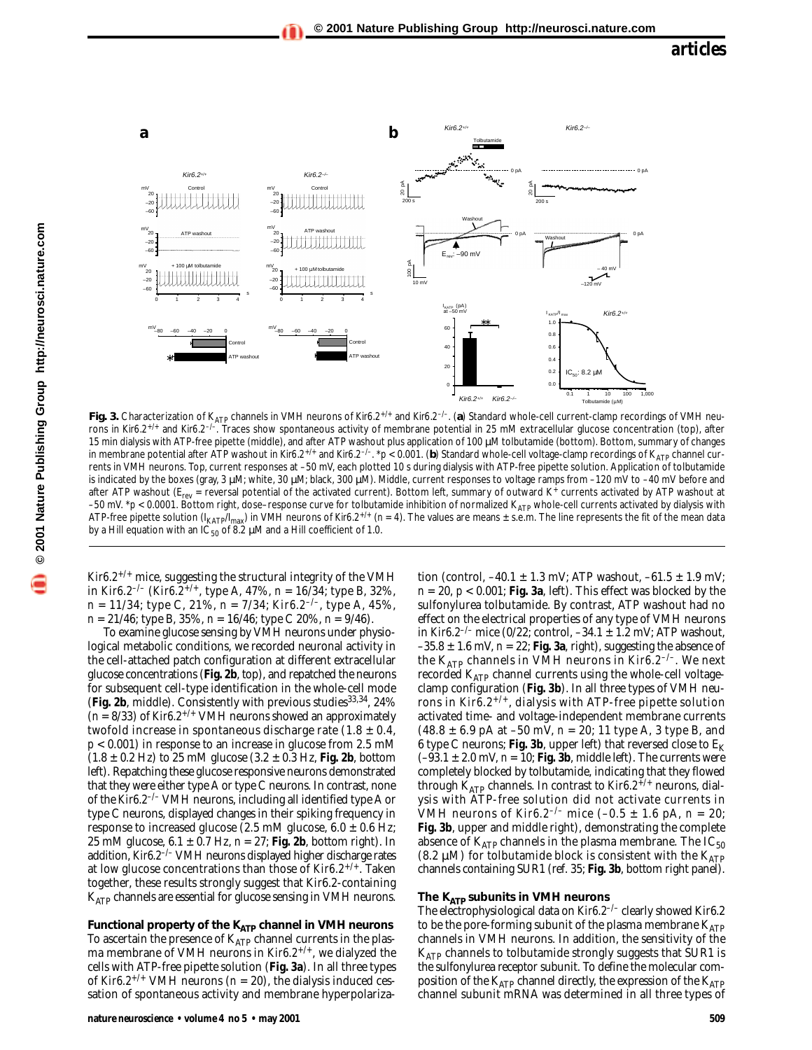

Fig. 3. Characterization of K<sub>ATP</sub> channels in VMH neurons of *Kir6.2<sup>+/+</sup>* and *Kir6.2<sup>-/-</sup>.* (**a**) Standard whole-cell current-clamp recordings of VMH neurons in *Kir6.2+/+* and *Kir6.2–/–*. Traces show spontaneous activity of membrane potential in 25 mM extracellular glucose concentration (top), after 15 min dialysis with ATP-free pipette (middle), and after ATP washout plus application of 100 µM tolbutamide (bottom). Bottom, summary of changes in membrane potential after ATP washout in *Kir6.2<sup>+/+</sup>* and *Kir6.2<sup>-/-</sup>*. *\*p* < 0.001. (b) Standard whole-cell voltage-clamp recordings of K<sub>ATP</sub> channel currents in VMH neurons. Top, current responses at –50 mV, each plotted 10 s during dialysis with ATP-free pipette solution. Application of tolbutamide is indicated by the boxes (gray, 3 µM; white, 30 µM; black, 300 µM). Middle, current responses to voltage ramps from –120 mV to –40 mV before and after ATP washout ( $E_{rev}$  = reversal potential of the activated current). Bottom left, summary of outward K+ currents activated by ATP washout at -50 mV. \*p < 0.0001. Bottom right, dose-response curve for tolbutamide inhibition of normalized K<sub>ATP</sub> whole-cell currents activated by dialysis with ATP-free pipette solution (I<sub>KATP</sub>/I<sub>max</sub>) in VMH neurons of *Kir6.2<sup>+/+</sup>* (n = 4). The values are means ± s.e.m. The line represents the fit of the mean data by a Hill equation with an IC<sub>50</sub> of 8.2  $\mu$ M and a Hill coefficient of 1.0.

*Kir6.2<sup>+/+</sup>* mice, suggesting the structural integrity of the VMH in *Kir6.2<sup>-/–</sup>* (*Kir6.2<sup>+/+</sup>*, type A, 47%, *n* = 16/34; type B, 32%, *n* = 11/34; type C, 21%, *n* = 7/34; *Kir6.2–/–*, type A, 45%, *n* = 21/46; type B, 35%, *n* = 16/46; type C 20%, *n* = 9/46).

To examine glucose sensing by VMH neurons under physiological metabolic conditions, we recorded neuronal activity in the cell-attached patch configuration at different extracellular glucose concentrations (**Fig. 2b**, top), and repatched the neurons for subsequent cell-type identification in the whole-cell mode (Fig. 2b, middle). Consistently with previous studies<sup>33,34</sup>, 24% (*n* = 8/33) of *Kir6.2+/+* VMH neurons showed an approximately twofold increase in spontaneous discharge rate  $(1.8 \pm 0.4,$ *p* < 0.001) in response to an increase in glucose from 2.5 mM  $(1.8 \pm 0.2 \text{ Hz})$  to 25 mM glucose  $(3.2 \pm 0.3 \text{ Hz}, \text{Fig. 2b}, \text{bottom})$ left). Repatching these glucose responsive neurons demonstrated that they were either type A or type C neurons. In contrast, none of the *Kir6.2–/–* VMH neurons, including all identified type A or type C neurons, displayed changes in their spiking frequency in response to increased glucose (2.5 mM glucose,  $6.0 \pm 0.6$  Hz; 25 mM glucose,  $6.1 \pm 0.7$  Hz,  $n = 27$ ; Fig. 2b, bottom right). In addition, *Kir6.2–/–* VMH neurons displayed higher discharge rates at low glucose concentrations than those of *Kir6.2+/+*. Taken together, these results strongly suggest that Kir6.2-containing  $K_{ATP}$  channels are essential for glucose sensing in VMH neurons.

Functional property of the K<sub>ATP</sub> channel in VMH neurons To ascertain the presence of  $K_{ATP}$  channel currents in the plasma membrane of VMH neurons in *Kir6.2+/+*, we dialyzed the cells with ATP-free pipette solution (**Fig. 3a**). In all three types of *Kir6.2<sup>+/+</sup>* VMH neurons ( $n = 20$ ), the dialysis induced cessation of spontaneous activity and membrane hyperpolarization (control,  $-40.1 \pm 1.3$  mV; ATP washout,  $-61.5 \pm 1.9$  mV;  $n = 20$ ,  $p < 0.001$ ; Fig. 3a, left). This effect was blocked by the sulfonylurea tolbutamide. By contrast, ATP washout had no effect on the electrical properties of any type of VMH neurons in *Kir6.2–/–* mice (0/22; control, –34.1 ± 1.2 mV; ATP washout,  $-35.8 \pm 1.6$  mV,  $n = 22$ ; Fig. 3a, right), suggesting the absence of the KATP channels in VMH neurons in *Kir6.2–/–*. We next recorded  $K_{ATP}$  channel currents using the whole-cell voltageclamp configuration (**Fig. 3b**). In all three types of VMH neurons in *Kir6.2+/+*, dialysis with ATP-free pipette solution activated time- and voltage-independent membrane currents  $(48.8 \pm 6.9 \text{ pA at } -50 \text{ mV}, n = 20; 11 \text{ type A}, 3 \text{ type B}, \text{and}$ 6 type C neurons; **Fig. 3b**, upper left) that reversed close to  $E_K$  $(-93.1 \pm 2.0 \text{ mV}, n = 10; \text{Fig. 3b}, \text{middle left})$ . The currents were completely blocked by tolbutamide, indicating that they flowed through KATP channels. In contrast to *Kir6.2+/+* neurons, dialysis with ATP-free solution did not activate currents in VMH neurons of *Kir6.2<sup>-/–</sup>* mice  $(-0.5 \pm 1.6 \text{ pA}, n = 20;$ **Fig. 3b**, upper and middle right), demonstrating the complete absence of  $K_{ATP}$  channels in the plasma membrane. The  $IC_{50}$ (8.2  $\mu$ M) for tolbutamide block is consistent with the  $K_{ATP}$ channels containing SUR1 (ref. 35; **Fig. 3b**, bottom right panel).

#### **The KATP subunits in VMH neurons**

The electrophysiological data on *Kir6.2–/–* clearly showed Kir6.2 to be the pore-forming subunit of the plasma membrane  $K_{ATP}$ channels in VMH neurons. In addition, the sensitivity of the  $K_{ATP}$  channels to tolbutamide strongly suggests that SUR1 is the sulfonylurea receptor subunit. To define the molecular composition of the  $K_{ATP}$  channel directly, the expression of the  $K_{ATP}$ channel subunit mRNA was determined in all three types of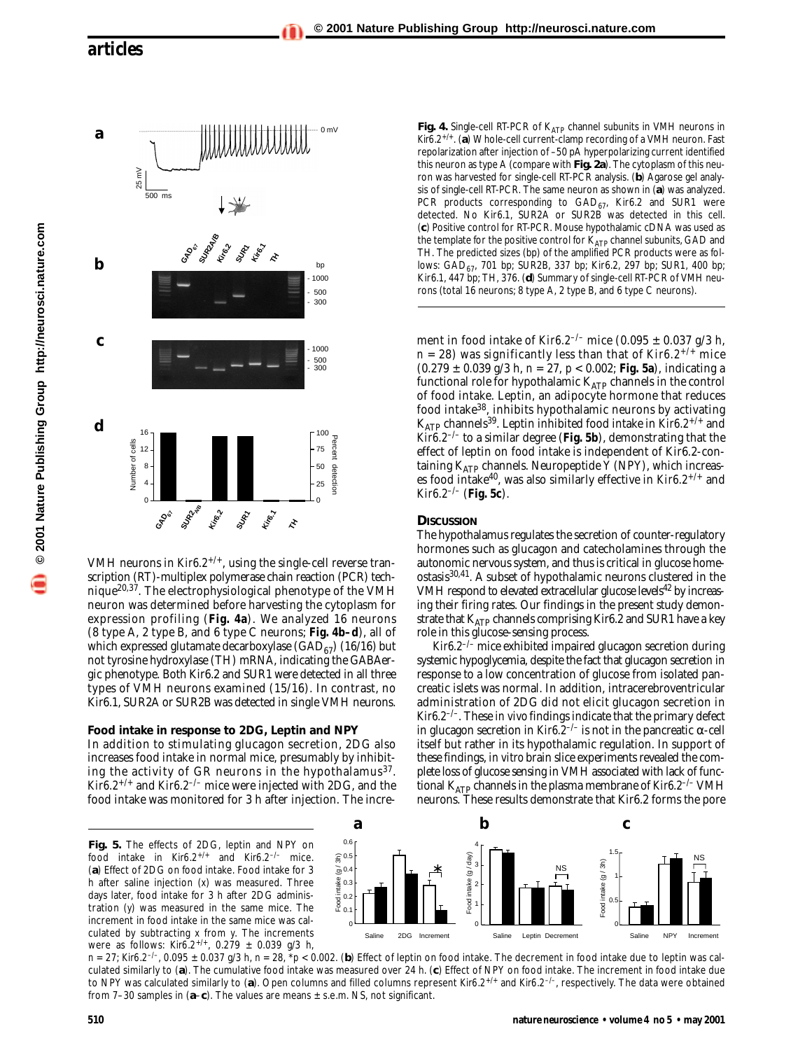

VMH neurons in *Kir6.2+/+*, using the single-cell reverse transcription (RT)-multiplex polymerase chain reaction (PCR) technique20,37. The electrophysiological phenotype of the VMH neuron was determined before harvesting the cytoplasm for expression profiling (**Fig. 4a**). We analyzed 16 neurons (8 type A, 2 type B, and 6 type C neurons; **Fig. 4b–d**), all of which expressed glutamate decarboxylase  $(GAD_{67})$  (16/16) but not tyrosine hydroxylase (TH) mRNA, indicating the GABAergic phenotype. Both Kir6.2 and SUR1 were detected in all three types of VMH neurons examined (15/16). In contrast, no Kir6.1, SUR2A or SUR2B was detected in single VMH neurons.

#### **Food intake in response to 2DG, Leptin and NPY**

In addition to stimulating glucagon secretion, 2DG also increases food intake in normal mice, presumably by inhibiting the activity of GR neurons in the hypothalamus<sup>37</sup>. *Kir6.2+/+* and *Kir6.2–/–* mice were injected with 2DG, and the food intake was monitored for 3 h after injection. The increFig. 4. Single-cell RT-PCR of K<sub>ATP</sub> channel subunits in VMH neurons in *Kir6.2+/+*. (**a**) Whole-cell current-clamp recording of a VMH neuron. Fast repolarization after injection of –50 pA hyperpolarizing current identified this neuron as type A (compare with **Fig. 2a**). The cytoplasm of this neuron was harvested for single-cell RT-PCR analysis. (**b**) Agarose gel analysis of single-cell RT-PCR. The same neuron as shown in (**a**) was analyzed. PCR products corresponding to  $GAD_{67}$ , Kir6.2 and SUR1 were detected. No Kir6.1, SUR2A or SUR2B was detected in this cell. (**c**) Positive control for RT-PCR. Mouse hypothalamic cDNA was used as the template for the positive control for  $K_{ATP}$  channel subunits, GAD and TH. The predicted sizes (bp) of the amplified PCR products were as follows:  $GAD_{67}$ , 701 bp; SUR2B, 337 bp; Kir6.2, 297 bp; SUR1, 400 bp; Kir6.1, 447 bp; TH, 376. (**d**) Summary of single-cell RT-PCR of VMH neurons (total 16 neurons; 8 type A, 2 type B, and 6 type C neurons).

ment in food intake of *Kir6.2–/–* mice (0.095 ± 0.037 g/3 h,  $n = 28$ ) was significantly less than that of *Kir6.2<sup>+/+</sup>* mice (0.279 ± 0.039 g/3 h, *n* = 27, *p* < 0.002; **Fig. 5a**), indicating a functional role for hypothalamic  $K_{ATP}$  channels in the control of food intake. Leptin, an adipocyte hormone that reduces food intake38, inhibits hypothalamic neurons by activating KATP channels39. Leptin inhibited food intake in *Kir6.2+/+* and *Kir6.2–/–* to a similar degree (**Fig. 5b**), demonstrating that the effect of leptin on food intake is independent of Kir6.2-containing  $K_{ATP}$  channels. Neuropeptide Y (NPY), which increases food intake40, was also similarly effective in *Kir6.2+/+* and *Kir6.2–/–* (**Fig. 5c**).

#### **DISCUSSION**

The hypothalamus regulates the secretion of counter-regulatory hormones such as glucagon and catecholamines through the autonomic nervous system, and thus is critical in glucose homeostasis30,41. A subset of hypothalamic neurons clustered in the VMH respond to elevated extracellular glucose levels<sup>42</sup> by increasing their firing rates. Our findings in the present study demonstrate that  $K_{ATP}$  channels comprising Kir6.2 and SUR1 have a key role in this glucose-sensing process.

*Kir6.2–/–* mice exhibited impaired glucagon secretion during systemic hypoglycemia, despite the fact that glucagon secretion in response to a low concentration of glucose from isolated pancreatic islets was normal. In addition, intracerebroventricular administration of 2DG did not elicit glucagon secretion in *Kir6.2–/–*. These *in vivo* findings indicate that the primary defect in glucagon secretion in *Kir<sub>6</sub>.*  $2^{-/-}$  is not in the pancreatic α-cell itself but rather in its hypothalamic regulation. In support of these findings, *in vitro* brain slice experiments revealed the complete loss of glucose sensing in VMH associated with lack of functional K<sub>ATP</sub> channels in the plasma membrane of *Kir6.2<sup>-/-</sup>* VMH neurons. These results demonstrate that Kir6.2 forms the pore



 $n = 27$ ; *Kir6.2<sup>-/-</sup>*, 0.095 ± 0.037 g/3 h,  $n = 28$ , \* $p < 0.002$ . (b) Effect of leptin on food intake. The decrement in food intake due to leptin was calculated similarly to (**a**). The cumulative food intake was measured over 24 h. (**c**) Effect of NPY on food intake. The increment in food intake due to NPY was calculated similarly to (**a**). Open columns and filled columns represent *Kir6.2+/+* and *Kir6.2–/–*, respectively. The data were obtained from 7–30 samples in (**a**–**c**). The values are means ± s.e.m. NS, not significant.

**Fig. 5.** The effects of 2DG, leptin and NPY on food intake in *Kir6.2+/+* and *Kir6.2–/–* mice. (**a**) Effect of 2DG on food intake. Food intake for 3 h after saline injection (*x*) was measured. Three days later, food intake for 3 h after 2DG administration (*y*) was measured in the same mice. The increment in food intake in the same mice was calculated by subtracting *x* from *y*. The increments were as follows: *Kir6.2+/+*, 0.279 ± 0.039 g/3 h,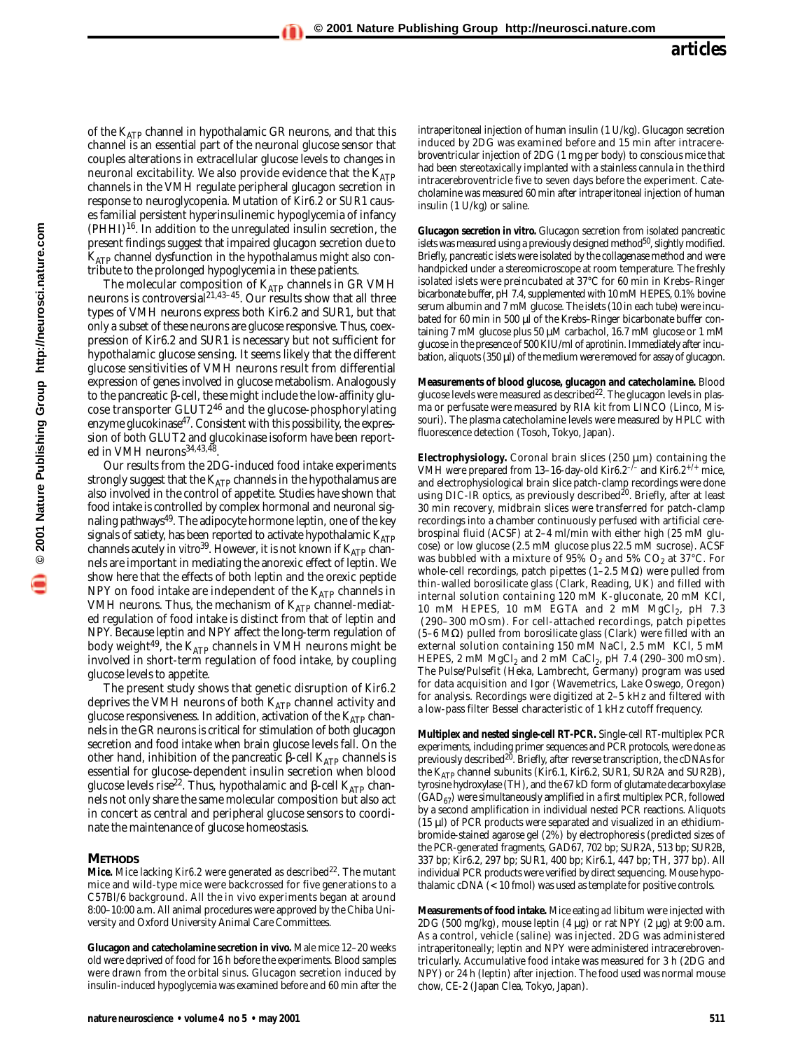**© 2001 Nature Publishing Group http://neurosci.nature.com**

of the  $K_{ATP}$  channel in hypothalamic GR neurons, and that this channel is an essential part of the neuronal glucose sensor that couples alterations in extracellular glucose levels to changes in neuronal excitability. We also provide evidence that the  $K_{ATP}$ channels in the VMH regulate peripheral glucagon secretion in response to neuroglycopenia. Mutation of *Kir6.2* or *SUR1* causes familial persistent hyperinsulinemic hypoglycemia of infancy  $(PHHI)^{16}$ . In addition to the unregulated insulin secretion, the present findings suggest that impaired glucagon secretion due to  $K_{ATP}$  channel dysfunction in the hypothalamus might also contribute to the prolonged hypoglycemia in these patients.

The molecular composition of  $K_{ATP}$  channels in GR VMH neurons is controversial<sup>21,43-45</sup>. Our results show that all three types of VMH neurons express both Kir6.2 and SUR1, but that only a subset of these neurons are glucose responsive. Thus, coexpression of Kir6.2 and SUR1 is necessary but not sufficient for hypothalamic glucose sensing. It seems likely that the different glucose sensitivities of VMH neurons result from differential expression of genes involved in glucose metabolism. Analogously to the pancreatic β-cell, these might include the low-affinity glucose transporter GLUT2<sup>46</sup> and the glucose-phosphorylating enzyme glucokinase<sup>47</sup>. Consistent with this possibility, the expression of both GLUT2 and glucokinase isoform have been reported in VMH neurons<sup>34,43,48</sup>.

Our results from the 2DG-induced food intake experiments strongly suggest that the  $K_{ATP}$  channels in the hypothalamus are also involved in the control of appetite. Studies have shown that food intake is controlled by complex hormonal and neuronal signaling pathways<sup>49</sup>. The adipocyte hormone leptin, one of the key signals of satiety, has been reported to activate hypothalamic  $K_{ATP}$ channels acutely *in vitro*<sup>39</sup>. However, it is not known if  $K_{ATP}$  channels are important in mediating the anorexic effect of leptin. We show here that the effects of both leptin and the orexic peptide NPY on food intake are independent of the  $K_{ATP}$  channels in VMH neurons. Thus, the mechanism of  $K_{ATP}$  channel-mediated regulation of food intake is distinct from that of leptin and NPY. Because leptin and NPY affect the long-term regulation of body weight $^{49}$ , the K<sub>ATP</sub> channels in VMH neurons might be involved in short-term regulation of food intake, by coupling glucose levels to appetite.

The present study shows that genetic disruption of *Kir6.2* deprives the VMH neurons of both  $K_{ATP}$  channel activity and glucose responsiveness. In addition, activation of the  $K_{ATP}$  channels in the GR neurons is critical for stimulation of both glucagon secretion and food intake when brain glucose levels fall. On the other hand, inhibition of the pancreatic β-cell  $K_{ATP}$  channels is essential for glucose-dependent insulin secretion when blood glucose levels rise<sup>22</sup>. Thus, hypothalamic and β-cell K<sub>ATP</sub> channels not only share the same molecular composition but also act in concert as central and peripheral glucose sensors to coordinate the maintenance of glucose homeostasis.

#### **METHODS**

**Mice.** Mice lacking *Kir6.2* were generated as described<sup>22</sup>. The mutant mice and wild-type mice were backcrossed for five generations to a C57Bl/6 background. All the *in vivo* experiments began at around 8:00–10:00 a.m. All animal procedures were approved by the Chiba University and Oxford University Animal Care Committees.

**Glucagon and catecholamine secretion** *in vivo.* Male mice 12–20 weeks old were deprived of food for 16 h before the experiments. Blood samples were drawn from the orbital sinus. Glucagon secretion induced by insulin-induced hypoglycemia was examined before and 60 min after the

intraperitoneal injection of human insulin (1 U/kg). Glucagon secretion induced by 2DG was examined before and 15 min after intracerebroventricular injection of 2DG (1 mg per body) to conscious mice that had been stereotaxically implanted with a stainless cannula in the third intracerebroventricle five to seven days before the experiment. Catecholamine was measured 60 min after intraperitoneal injection of human insulin (1 U/kg) or saline.

**Glucagon secretion** *in vitro.* Glucagon secretion from isolated pancreatic islets was measured using a previously designed method $^{50}$ , slightly modified. Briefly, pancreatic islets were isolated by the collagenase method and were handpicked under a stereomicroscope at room temperature. The freshly isolated islets were preincubated at 37°C for 60 min in Krebs–Ringer bicarbonate buffer, pH 7.4, supplemented with 10 mM HEPES, 0.1% bovine serum albumin and 7 mM glucose. The islets (10 in each tube) were incubated for 60 min in 500 µl of the Krebs-Ringer bicarbonate buffer containing 7 mM glucose plus 50 µM carbachol, 16.7 mM glucose or 1 mM glucose in the presence of 500 KIU/ml of aprotinin. Immediately after incubation, aliquots (350 µl) of the medium were removed for assay of glucagon.

**Measurements of blood glucose, glucagon and catecholamine.** Blood glucose levels were measured as described $22$ . The glucagon levels in plasma or perfusate were measured by RIA kit from LINCO (Linco, Missouri). The plasma catecholamine levels were measured by HPLC with fluorescence detection (Tosoh, Tokyo, Japan).

**Electrophysiology.** Coronal brain slices (250 µm) containing the VMH were prepared from 13–16-day-old *Kir6.2–/–* and *Kir6.2+/+* mice, and electrophysiological brain slice patch-clamp recordings were done using DIC-IR optics, as previously described<sup>20</sup>. Briefly, after at least 30 min recovery, midbrain slices were transferred for patch-clamp recordings into a chamber continuously perfused with artificial cerebrospinal fluid (ACSF) at 2–4 ml/min with either high (25 mM glucose) or low glucose (2.5 mM glucose plus 22.5 mM sucrose). ACSF was bubbled with a mixture of  $95\%$  O<sub>2</sub> and  $5\%$  CO<sub>2</sub> at 37°C. For whole-cell recordings, patch pipettes (1–2.5 MΩ) were pulled from thin-walled borosilicate glass (Clark, Reading, UK) and filled with internal solution containing 120 mM K-gluconate, 20 mM KCl, 10 mM HEPES, 10 mM EGTA and  $\tilde{2}$  mM MgCl<sub>2</sub>, pH 7.3 (290–300 mOsm). For cell-attached recordings, patch pipettes (5–6 MΩ) pulled from borosilicate glass (Clark) were filled with an external solution containing 150 mM NaCl, 2.5 mM KCl, 5 mM HEPES, 2 mM  $MgCl<sub>2</sub>$  and 2 mM CaCl<sub>2</sub>, pH 7.4 (290–300 mOsm). The Pulse/Pulsefit (Heka, Lambrecht, Germany) program was used for data acquisition and Igor (Wavemetrics, Lake Oswego, Oregon) for analysis. Recordings were digitized at 2–5 kHz and filtered with a low-pass filter Bessel characteristic of 1 kHz cutoff frequency.

**Multiplex and nested single-cell RT-PCR.** Single-cell RT-multiplex PCR experiments, including primer sequences and PCR protocols, were done as previously described<sup>20</sup>. Briefly, after reverse transcription, the cDNAs for the K<sub>ATP</sub> channel subunits (Kir6.1, Kir6.2, SUR1, SUR2A and SUR2B), tyrosine hydroxylase (TH), and the 67 kD form of glutamate decarboxylase  $(GAD_{67})$  were simultaneously amplified in a first multiplex PCR, followed by a second amplification in individual nested PCR reactions. Aliquots (15 µl) of PCR products were separated and visualized in an ethidiumbromide-stained agarose gel (2%) by electrophoresis (predicted sizes of the PCR-generated fragments, GAD67, 702 bp; SUR2A, 513 bp; SUR2B, 337 bp; Kir6.2, 297 bp; SUR1, 400 bp; Kir6.1, 447 bp; TH, 377 bp). All individual PCR products were verified by direct sequencing. Mouse hypothalamic cDNA (< 10 fmol) was used as template for positive controls.

**Measurements of food intake.** Mice eating *ad libitum* were injected with 2DG (500 mg/kg), mouse leptin (4  $\mu$ g) or rat NPY (2  $\mu$ g) at 9:00 a.m. As a control, vehicle (saline) was injected. 2DG was administered intraperitoneally; leptin and NPY were administered intracerebroventricularly. Accumulative food intake was measured for 3 h (2DG and NPY) or 24 h (leptin) after injection. The food used was normal mouse chow, CE-2 (Japan Clea, Tokyo, Japan).